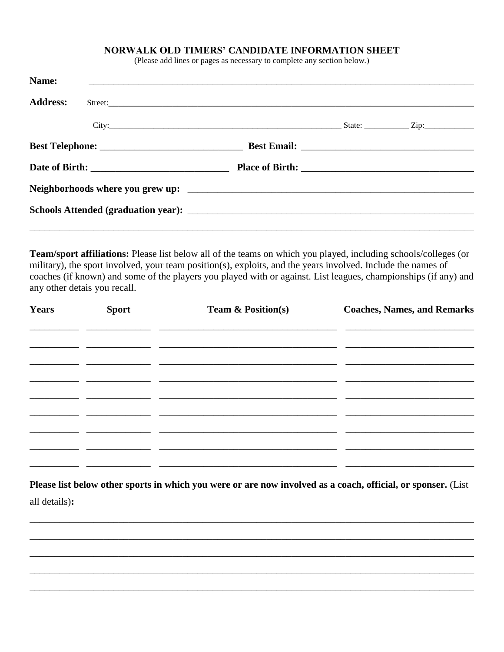## NORWALK OLD TIMERS' CANDIDATE INFORMATION SHEET

(Please add lines or pages as necessary to complete any section below.)

| Name:<br><u> 1989 - John Stoff, deutscher Stoff, der Stoff, der Stoff, der Stoff, der Stoff, der Stoff, der Stoff, der Sto</u> |  |  |
|--------------------------------------------------------------------------------------------------------------------------------|--|--|
| <b>Address:</b>                                                                                                                |  |  |
|                                                                                                                                |  |  |
|                                                                                                                                |  |  |
|                                                                                                                                |  |  |
|                                                                                                                                |  |  |
|                                                                                                                                |  |  |
|                                                                                                                                |  |  |

Team/sport affiliations: Please list below all of the teams on which you played, including schools/colleges (or military), the sport involved, your team position(s), exploits, and the years involved. Include the names of coaches (if known) and some of the players you played with or against. List leagues, championships (if any) and any other detais you recall.

| <b>Years</b> | <b>Sport</b> | <b>Team &amp; Position(s)</b> | <b>Coaches, Names, and Remarks</b> |
|--------------|--------------|-------------------------------|------------------------------------|
|              |              |                               |                                    |
|              |              |                               |                                    |
|              |              |                               |                                    |
|              |              |                               |                                    |
|              |              |                               |                                    |
|              |              |                               |                                    |
|              |              |                               |                                    |

Please list below other sports in which you were or are now involved as a coach, official, or sponser. (List all details):